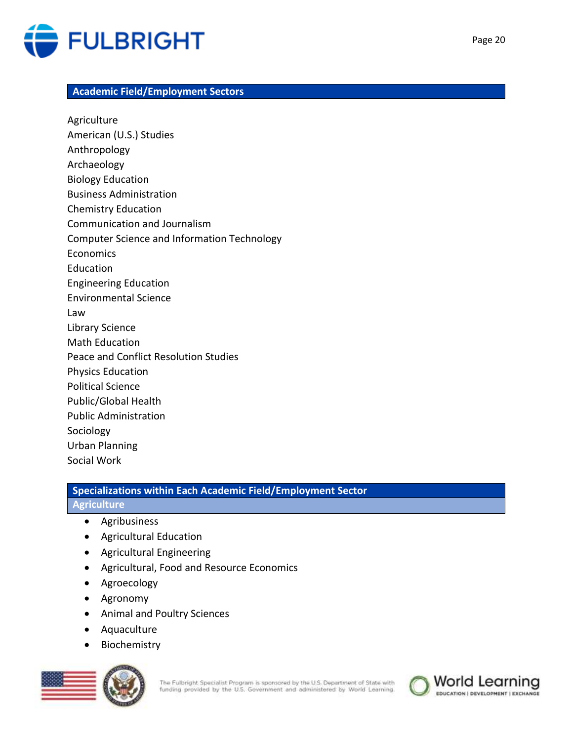

#### **Academic Field/Employment Sectors**

Agriculture American (U.S.) Studies Anthropology Archaeology Biology Education Business Administration Chemistry Education Communication and Journalism Computer Science and Information Technology Economics Education Engineering Education Environmental Science Law Library Science Math Education Peace and Conflict Resolution Studies Physics Education Political Science Public/Global Health Public Administration Sociology Urban Planning Social Work

# **Specializations within Each Academic Field/Employment Sector**

## **Agriculture**

- Agribusiness
- Agricultural Education
- Agricultural Engineering
- Agricultural, Food and Resource Economics
- Agroecology
- Agronomy
- Animal and Poultry Sciences
- Aquaculture
- Biochemistry



The Fulbright Specialist Program is sponsored by the U.S. Department of State with funding provided by the U.S. Government and administered by World Learning.

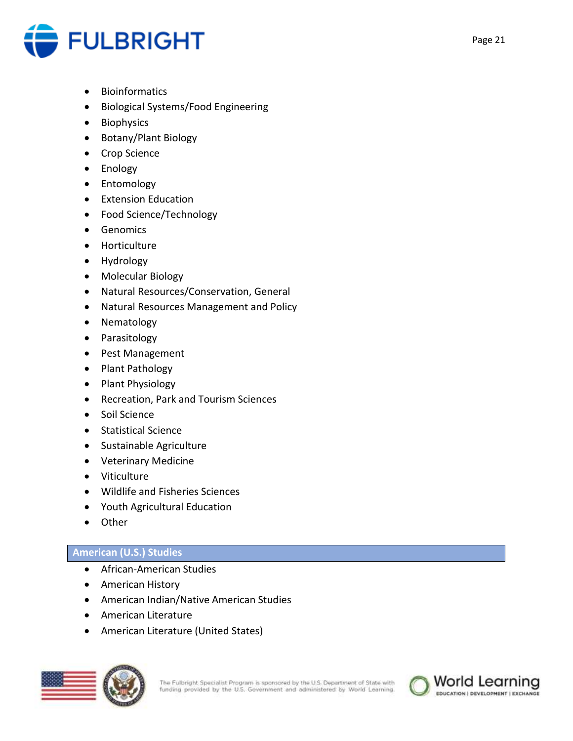

- **•** Bioinformatics
- Biological Systems/Food Engineering
- Biophysics
- Botany/Plant Biology
- Crop Science
- Enology
- Entomology
- **•** Extension Education
- Food Science/Technology
- Genomics
- Horticulture
- Hydrology
- Molecular Biology
- Natural Resources/Conservation, General
- Natural Resources Management and Policy
- Nematology
- Parasitology
- Pest Management
- Plant Pathology
- Plant Physiology
- Recreation, Park and Tourism Sciences
- Soil Science
- Statistical Science
- Sustainable Agriculture
- Veterinary Medicine
- Viticulture
- Wildlife and Fisheries Sciences
- Youth Agricultural Education
- Other

## **American (U.S.) Studies**

- African-American Studies
- American History
- American Indian/Native American Studies
- American Literature
- American Literature (United States)



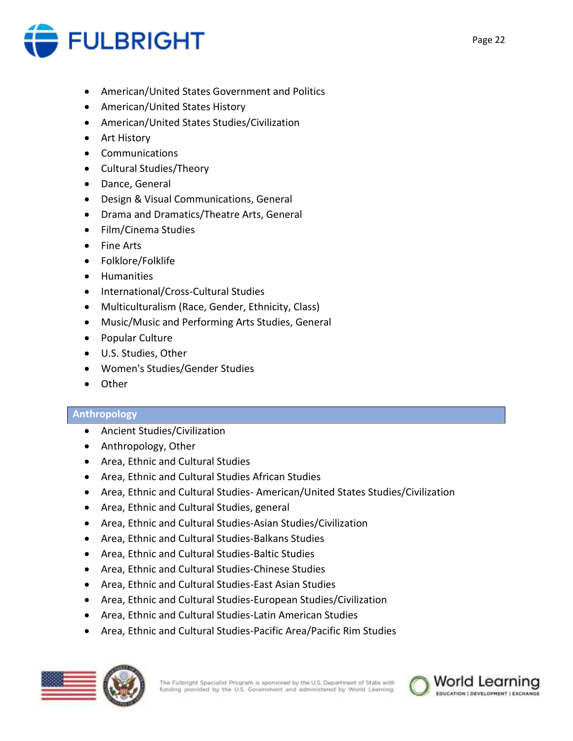

- American/United States Government and Politics
- American/United States History
- American/United States Studies/Civilization
- Art History
- Communications
- Cultural Studies/Theory
- Dance, General
- Design & Visual Communications, General
- Drama and Dramatics/Theatre Arts, General
- Film/Cinema Studies
- Fine Arts
- Folklore/Folklife
- **•** Humanities
- International/Cross-Cultural Studies
- Multiculturalism (Race, Gender, Ethnicity, Class)
- Music/Music and Performing Arts Studies, General
- Popular Culture
- U.S. Studies, Other
- Women's Studies/Gender Studies
- Other

## **Anthropology**

- Ancient Studies/Civilization
- Anthropology, Other
- Area, Ethnic and Cultural Studies
- Area, Ethnic and Cultural Studies African Studies
- Area, Ethnic and Cultural Studies- American/United States Studies/Civilization
- Area, Ethnic and Cultural Studies, general
- Area, Ethnic and Cultural Studies-Asian Studies/Civilization
- Area, Ethnic and Cultural Studies-Balkans Studies
- Area, Ethnic and Cultural Studies-Baltic Studies
- Area, Ethnic and Cultural Studies-Chinese Studies
- Area, Ethnic and Cultural Studies-East Asian Studies
- Area, Ethnic and Cultural Studies-European Studies/Civilization
- Area, Ethnic and Cultural Studies-Latin American Studies
- Area, Ethnic and Cultural Studies-Pacific Area/Pacific Rim Studies



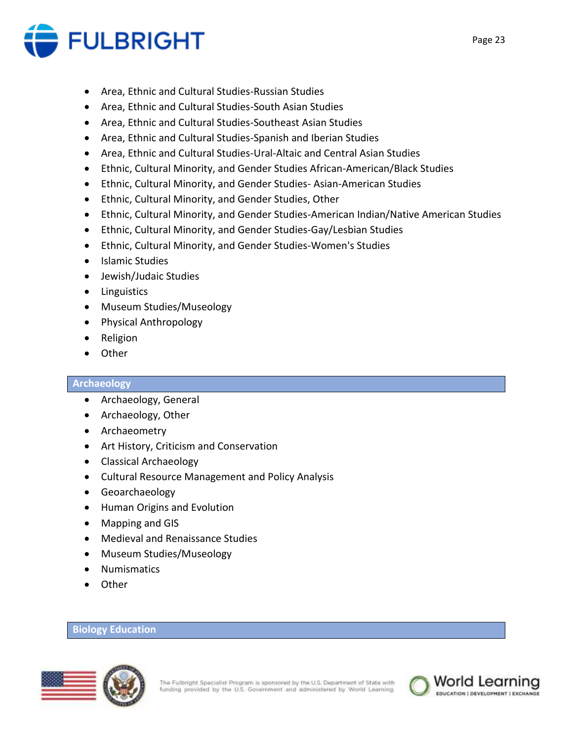

- Area, Ethnic and Cultural Studies-Russian Studies
- Area, Ethnic and Cultural Studies-South Asian Studies
- Area, Ethnic and Cultural Studies-Southeast Asian Studies
- Area, Ethnic and Cultural Studies-Spanish and Iberian Studies
- Area, Ethnic and Cultural Studies-Ural-Altaic and Central Asian Studies
- Ethnic, Cultural Minority, and Gender Studies African-American/Black Studies
- Ethnic, Cultural Minority, and Gender Studies- Asian-American Studies
- Ethnic, Cultural Minority, and Gender Studies, Other
- Ethnic, Cultural Minority, and Gender Studies-American Indian/Native American Studies
- Ethnic, Cultural Minority, and Gender Studies-Gay/Lesbian Studies
- Ethnic, Cultural Minority, and Gender Studies-Women's Studies
- Islamic Studies
- Jewish/Judaic Studies
- Linguistics
- Museum Studies/Museology
- Physical Anthropology
- Religion
- Other

#### **Archaeology**

- Archaeology, General
- Archaeology, Other
- Archaeometry
- Art History, Criticism and Conservation
- Classical Archaeology
- Cultural Resource Management and Policy Analysis
- **•** Geoarchaeology
- Human Origins and Evolution
- Mapping and GIS
- Medieval and Renaissance Studies
- Museum Studies/Museology
- Numismatics
- Other

#### **Biology Education**



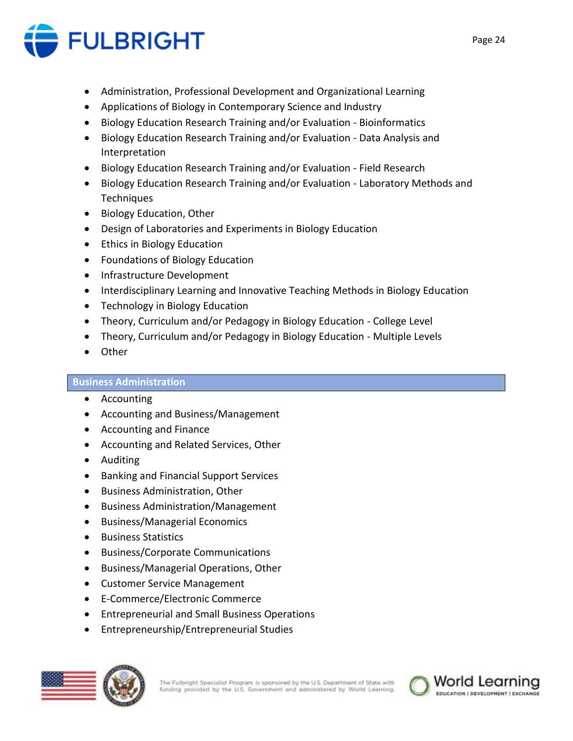

- Administration, Professional Development and Organizational Learning
- Applications of Biology in Contemporary Science and Industry
- Biology Education Research Training and/or Evaluation Bioinformatics
- Biology Education Research Training and/or Evaluation Data Analysis and Interpretation
- Biology Education Research Training and/or Evaluation Field Research
- Biology Education Research Training and/or Evaluation Laboratory Methods and **Techniques**
- Biology Education, Other
- Design of Laboratories and Experiments in Biology Education
- Ethics in Biology Education
- Foundations of Biology Education
- Infrastructure Development
- Interdisciplinary Learning and Innovative Teaching Methods in Biology Education
- Technology in Biology Education
- Theory, Curriculum and/or Pedagogy in Biology Education College Level
- Theory, Curriculum and/or Pedagogy in Biology Education Multiple Levels
- Other

## **Business Administration**

- Accounting
- Accounting and Business/Management
- Accounting and Finance
- Accounting and Related Services, Other
- Auditing
- Banking and Financial Support Services
- **•** Business Administration, Other
- Business Administration/Management
- Business/Managerial Economics
- Business Statistics
- Business/Corporate Communications
- Business/Managerial Operations, Other
- Customer Service Management
- E-Commerce/Electronic Commerce
- Entrepreneurial and Small Business Operations
- Entrepreneurship/Entrepreneurial Studies



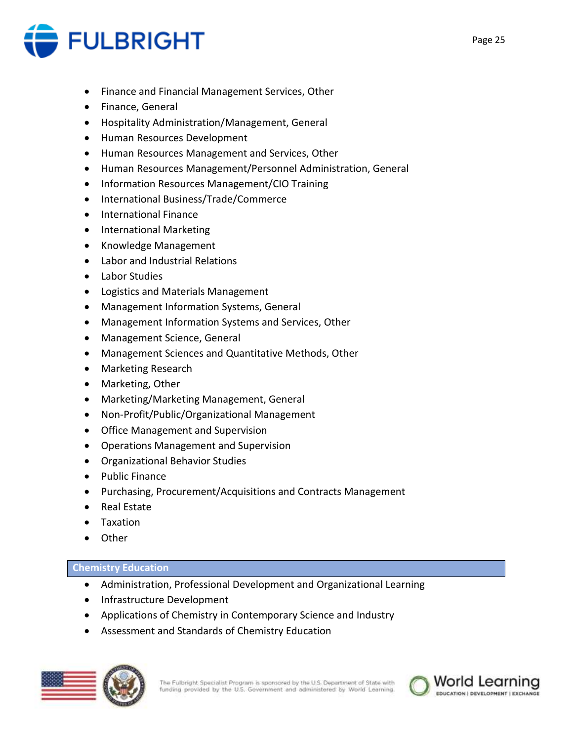

- Finance and Financial Management Services, Other
- **•** Finance, General
- Hospitality Administration/Management, General
- Human Resources Development
- Human Resources Management and Services, Other
- Human Resources Management/Personnel Administration, General
- Information Resources Management/CIO Training
- International Business/Trade/Commerce
- International Finance
- International Marketing
- Knowledge Management
- Labor and Industrial Relations
- Labor Studies
- Logistics and Materials Management
- Management Information Systems, General
- Management Information Systems and Services, Other
- Management Science, General
- Management Sciences and Quantitative Methods, Other
- Marketing Research
- Marketing, Other
- Marketing/Marketing Management, General
- Non-Profit/Public/Organizational Management
- Office Management and Supervision
- Operations Management and Supervision
- Organizational Behavior Studies
- Public Finance
- Purchasing, Procurement/Acquisitions and Contracts Management
- Real Estate
- Taxation
- Other

## **Chemistry Education**

- Administration, Professional Development and Organizational Learning
- Infrastructure Development
- Applications of Chemistry in Contemporary Science and Industry
- Assessment and Standards of Chemistry Education



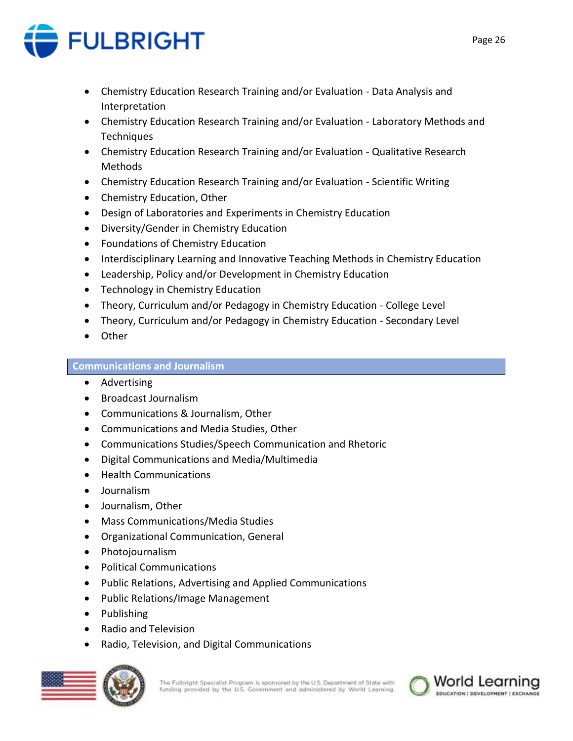

- Chemistry Education Research Training and/or Evaluation Data Analysis and Interpretation
- Chemistry Education Research Training and/or Evaluation Laboratory Methods and Techniques
- Chemistry Education Research Training and/or Evaluation Qualitative Research Methods
- Chemistry Education Research Training and/or Evaluation Scientific Writing
- Chemistry Education, Other
- Design of Laboratories and Experiments in Chemistry Education
- Diversity/Gender in Chemistry Education
- Foundations of Chemistry Education
- Interdisciplinary Learning and Innovative Teaching Methods in Chemistry Education
- Leadership, Policy and/or Development in Chemistry Education
- Technology in Chemistry Education
- Theory, Curriculum and/or Pedagogy in Chemistry Education College Level
- Theory, Curriculum and/or Pedagogy in Chemistry Education Secondary Level
- Other

## **Communications and Journalism**

- Advertising
- Broadcast Journalism
- Communications & Journalism, Other
- Communications and Media Studies, Other
- Communications Studies/Speech Communication and Rhetoric
- Digital Communications and Media/Multimedia
- Health Communications
- Journalism
- Journalism, Other
- Mass Communications/Media Studies
- Organizational Communication, General
- Photojournalism
- Political Communications
- Public Relations, Advertising and Applied Communications
- Public Relations/Image Management
- Publishing
- Radio and Television
- Radio, Television, and Digital Communications



The Fulbright Specialist Program is sponsored by the U.S. Department of State with funding provided by the U.S. Government and administered by World Learning.

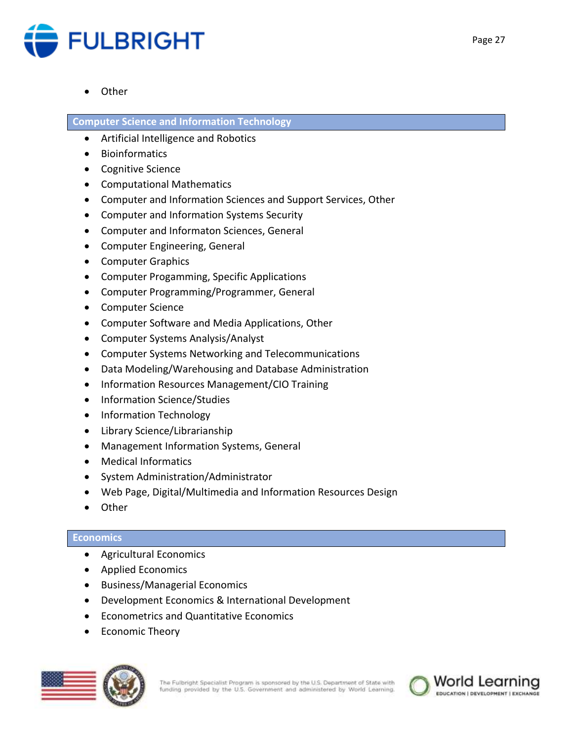

**Other** 

## **Computer Science and Information Technology**

- Artificial Intelligence and Robotics
- **•** Bioinformatics
- Cognitive Science
- Computational Mathematics
- Computer and Information Sciences and Support Services, Other
- Computer and Information Systems Security
- Computer and Informaton Sciences, General
- Computer Engineering, General
- Computer Graphics
- Computer Progamming, Specific Applications
- Computer Programming/Programmer, General
- Computer Science
- Computer Software and Media Applications, Other
- Computer Systems Analysis/Analyst
- Computer Systems Networking and Telecommunications
- Data Modeling/Warehousing and Database Administration
- Information Resources Management/CIO Training
- Information Science/Studies
- Information Technology
- Library Science/Librarianship
- Management Information Systems, General
- Medical Informatics
- System Administration/Administrator
- Web Page, Digital/Multimedia and Information Resources Design
- Other

## **Economics**

- Agricultural Economics
- Applied Economics
- Business/Managerial Economics
- Development Economics & International Development
- Econometrics and Quantitative Economics
- Economic Theory



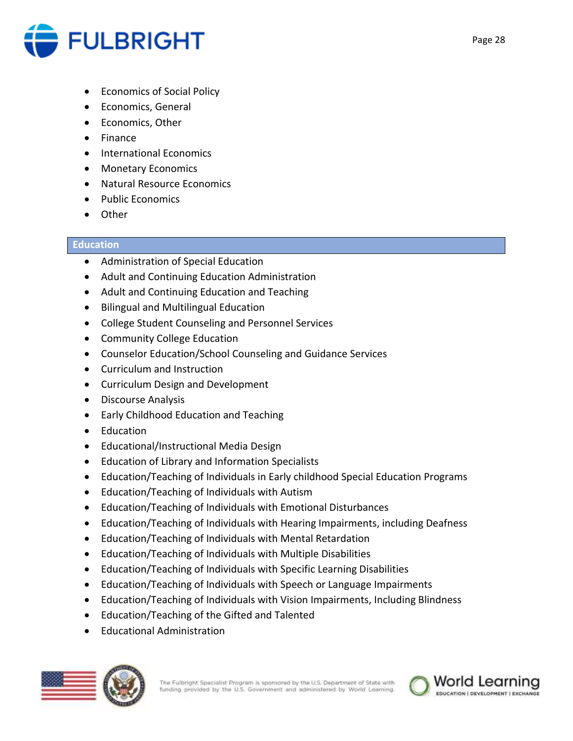

- Economics of Social Policy
- **•** Economics, General
- Economics, Other
- Finance
- International Economics
- Monetary Economics
- Natural Resource Economics
- Public Economics
- Other

## **Education**

- Administration of Special Education
- Adult and Continuing Education Administration
- Adult and Continuing Education and Teaching
- Bilingual and Multilingual Education
- College Student Counseling and Personnel Services
- Community College Education
- Counselor Education/School Counseling and Guidance Services
- Curriculum and Instruction
- Curriculum Design and Development
- Discourse Analysis
- Early Childhood Education and Teaching
- Education
- Educational/Instructional Media Design
- Education of Library and Information Specialists
- Education/Teaching of Individuals in Early childhood Special Education Programs
- Education/Teaching of Individuals with Autism
- Education/Teaching of Individuals with Emotional Disturbances
- Education/Teaching of Individuals with Hearing Impairments, including Deafness
- Education/Teaching of Individuals with Mental Retardation
- Education/Teaching of Individuals with Multiple Disabilities
- Education/Teaching of Individuals with Specific Learning Disabilities
- Education/Teaching of Individuals with Speech or Language Impairments
- Education/Teaching of Individuals with Vision Impairments, Including Blindness
- Education/Teaching of the Gifted and Talented
- Educational Administration

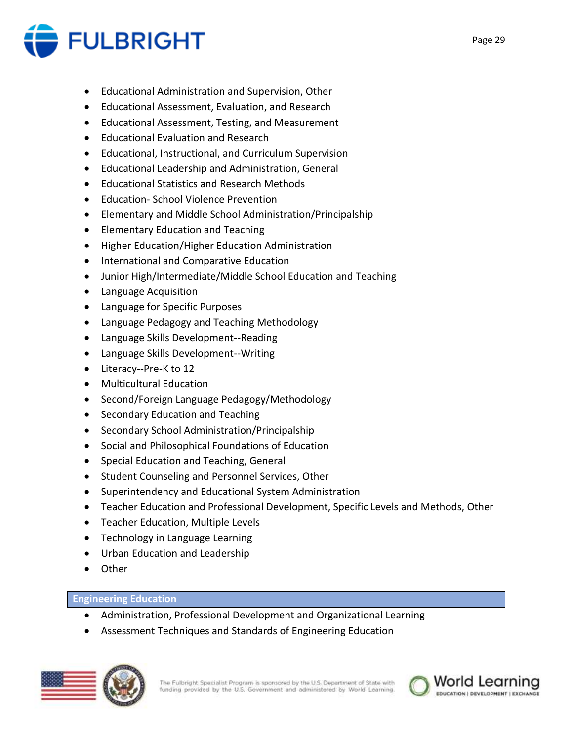

- Educational Administration and Supervision, Other
- Educational Assessment, Evaluation, and Research
- Educational Assessment, Testing, and Measurement
- Educational Evaluation and Research
- Educational, Instructional, and Curriculum Supervision
- Educational Leadership and Administration, General
- Educational Statistics and Research Methods
- Education- School Violence Prevention
- Elementary and Middle School Administration/Principalship
- Elementary Education and Teaching
- Higher Education/Higher Education Administration
- **•** International and Comparative Education
- Junior High/Intermediate/Middle School Education and Teaching
- Language Acquisition
- Language for Specific Purposes
- Language Pedagogy and Teaching Methodology
- Language Skills Development--Reading
- Language Skills Development--Writing
- Literacy--Pre-K to 12
- Multicultural Education
- Second/Foreign Language Pedagogy/Methodology
- Secondary Education and Teaching
- Secondary School Administration/Principalship
- Social and Philosophical Foundations of Education
- Special Education and Teaching, General
- Student Counseling and Personnel Services, Other
- Superintendency and Educational System Administration
- Teacher Education and Professional Development, Specific Levels and Methods, Other
- Teacher Education, Multiple Levels
- Technology in Language Learning
- Urban Education and Leadership
- Other

## **Engineering Education**

- Administration, Professional Development and Organizational Learning
- Assessment Techniques and Standards of Engineering Education



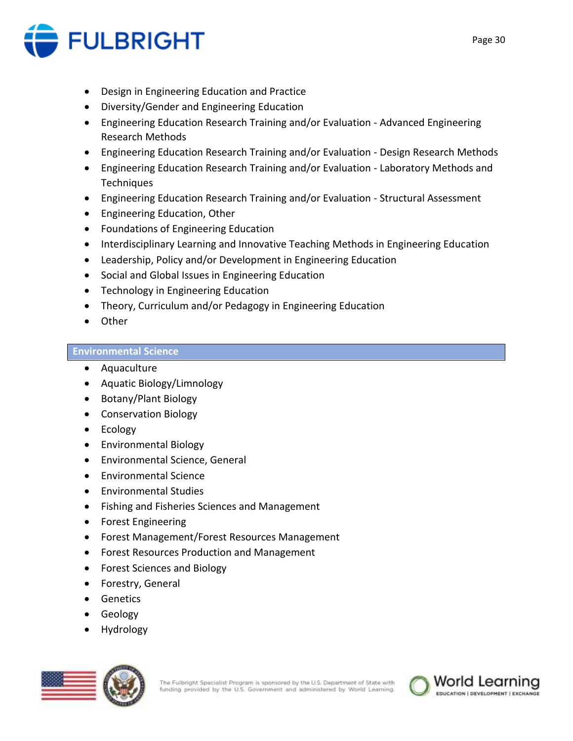

- Design in Engineering Education and Practice
- Diversity/Gender and Engineering Education
- Engineering Education Research Training and/or Evaluation Advanced Engineering Research Methods
- Engineering Education Research Training and/or Evaluation Design Research Methods
- Engineering Education Research Training and/or Evaluation Laboratory Methods and **Techniques**
- Engineering Education Research Training and/or Evaluation Structural Assessment
- Engineering Education, Other
- Foundations of Engineering Education
- Interdisciplinary Learning and Innovative Teaching Methods in Engineering Education
- Leadership, Policy and/or Development in Engineering Education
- Social and Global Issues in Engineering Education
- Technology in Engineering Education
- Theory, Curriculum and/or Pedagogy in Engineering Education
- Other

## **Environmental Science**

- Aquaculture
- Aquatic Biology/Limnology
- Botany/Plant Biology
- Conservation Biology
- Ecology
- Environmental Biology
- Environmental Science, General
- Environmental Science
- Environmental Studies
- Fishing and Fisheries Sciences and Management
- Forest Engineering
- Forest Management/Forest Resources Management
- Forest Resources Production and Management
- Forest Sciences and Biology
- Forestry, General
- **•** Genetics
- **•** Geology
- Hydrology



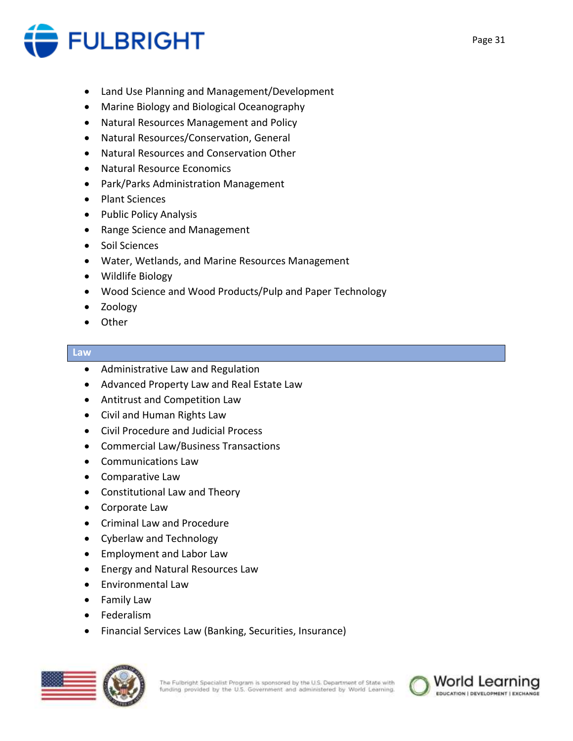

- Land Use Planning and Management/Development
- Marine Biology and Biological Oceanography
- Natural Resources Management and Policy
- Natural Resources/Conservation, General
- Natural Resources and Conservation Other
- Natural Resource Economics
- Park/Parks Administration Management
- Plant Sciences
- Public Policy Analysis
- Range Science and Management
- Soil Sciences
- Water, Wetlands, and Marine Resources Management
- Wildlife Biology
- Wood Science and Wood Products/Pulp and Paper Technology
- Zoology
- Other

#### **Law**

- Administrative Law and Regulation
- Advanced Property Law and Real Estate Law
- Antitrust and Competition Law
- Civil and Human Rights Law
- Civil Procedure and Judicial Process
- Commercial Law/Business Transactions
- Communications Law
- Comparative Law
- Constitutional Law and Theory
- Corporate Law
- Criminal Law and Procedure
- Cyberlaw and Technology
- Employment and Labor Law
- Energy and Natural Resources Law
- Environmental Law
- Family Law
- Federalism
- Financial Services Law (Banking, Securities, Insurance)



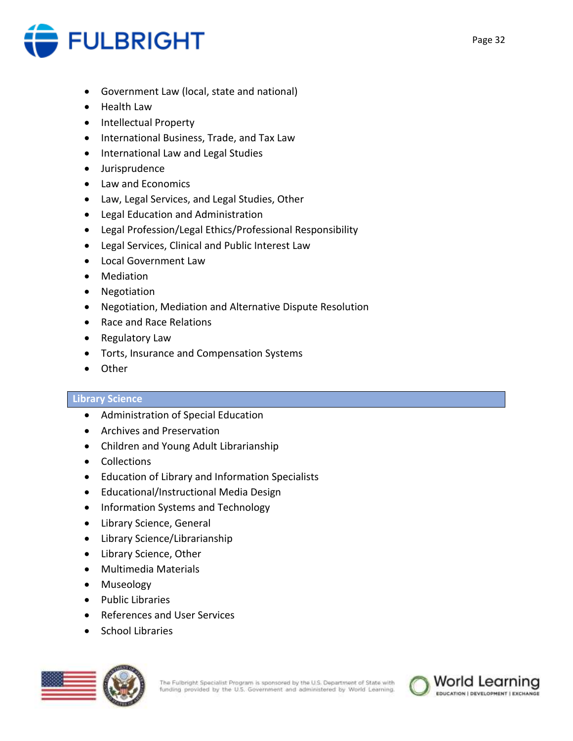

- Government Law (local, state and national)
- Health Law
- Intellectual Property
- **•** International Business, Trade, and Tax Law
- International Law and Legal Studies
- Jurisprudence
- Law and Economics
- Law, Legal Services, and Legal Studies, Other
- Legal Education and Administration
- Legal Profession/Legal Ethics/Professional Responsibility
- Legal Services, Clinical and Public Interest Law
- Local Government Law
- Mediation
- Negotiation
- Negotiation, Mediation and Alternative Dispute Resolution
- Race and Race Relations
- Regulatory Law
- Torts, Insurance and Compensation Systems
- Other

#### **Library Science**

- Administration of Special Education
- Archives and Preservation
- Children and Young Adult Librarianship
- Collections
- Education of Library and Information Specialists
- Educational/Instructional Media Design
- Information Systems and Technology
- Library Science, General
- Library Science/Librarianship
- Library Science, Other
- Multimedia Materials
- Museology
- Public Libraries
- References and User Services
- School Libraries



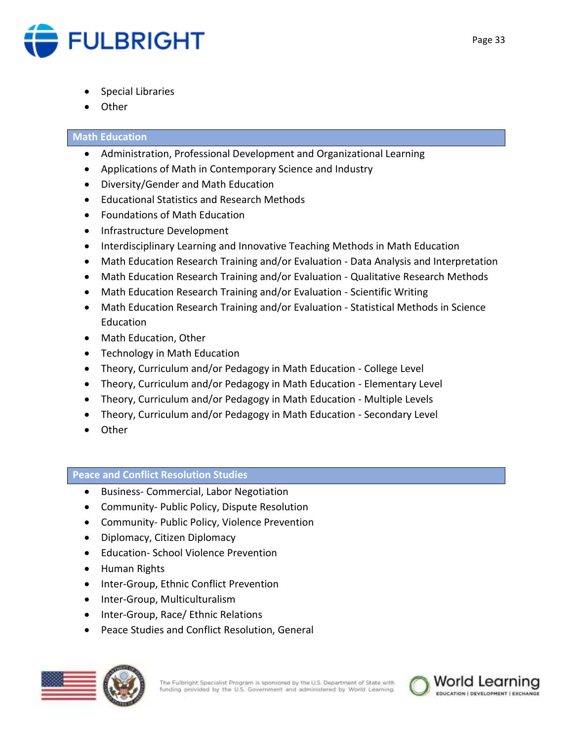

- Special Libraries
- **Other**

## **Math Education**

- Administration, Professional Development and Organizational Learning
- Applications of Math in Contemporary Science and Industry
- Diversity/Gender and Math Education
- Educational Statistics and Research Methods
- Foundations of Math Education
- Infrastructure Development
- Interdisciplinary Learning and Innovative Teaching Methods in Math Education
- Math Education Research Training and/or Evaluation Data Analysis and Interpretation
- Math Education Research Training and/or Evaluation Qualitative Research Methods
- Math Education Research Training and/or Evaluation Scientific Writing
- Math Education Research Training and/or Evaluation Statistical Methods in Science Education
- Math Education, Other
- Technology in Math Education
- Theory, Curriculum and/or Pedagogy in Math Education College Level
- Theory, Curriculum and/or Pedagogy in Math Education Elementary Level
- Theory, Curriculum and/or Pedagogy in Math Education Multiple Levels
- Theory, Curriculum and/or Pedagogy in Math Education Secondary Level
- Other

## **Peace and Conflict Resolution Studies**

- **•** Business- Commercial, Labor Negotiation
- Community- Public Policy, Dispute Resolution
- Community- Public Policy, Violence Prevention
- Diplomacy, Citizen Diplomacy
- Education- School Violence Prevention
- Human Rights
- Inter-Group, Ethnic Conflict Prevention
- Inter-Group, Multiculturalism
- Inter-Group, Race/ Ethnic Relations
- Peace Studies and Conflict Resolution, General



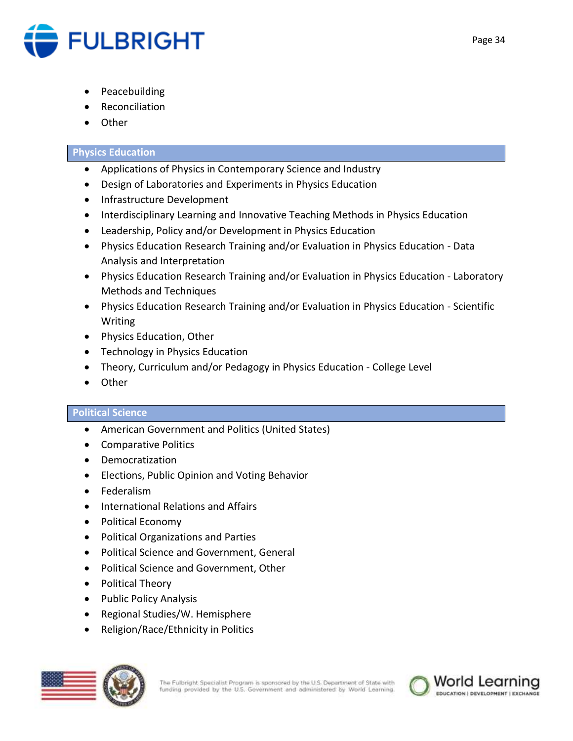

- Peacebuilding
- Reconciliation
- **Other**

## **Physics Education**

- Applications of Physics in Contemporary Science and Industry
- Design of Laboratories and Experiments in Physics Education
- Infrastructure Development
- Interdisciplinary Learning and Innovative Teaching Methods in Physics Education
- Leadership, Policy and/or Development in Physics Education
- Physics Education Research Training and/or Evaluation in Physics Education Data Analysis and Interpretation
- Physics Education Research Training and/or Evaluation in Physics Education Laboratory Methods and Techniques
- Physics Education Research Training and/or Evaluation in Physics Education Scientific Writing
- Physics Education, Other
- Technology in Physics Education
- Theory, Curriculum and/or Pedagogy in Physics Education College Level
- Other

## **Political Science**

- American Government and Politics (United States)
- Comparative Politics
- Democratization
- Elections, Public Opinion and Voting Behavior
- Federalism
- International Relations and Affairs
- Political Economy
- Political Organizations and Parties
- Political Science and Government, General
- Political Science and Government, Other
- Political Theory
- Public Policy Analysis
- Regional Studies/W. Hemisphere
- Religion/Race/Ethnicity in Politics



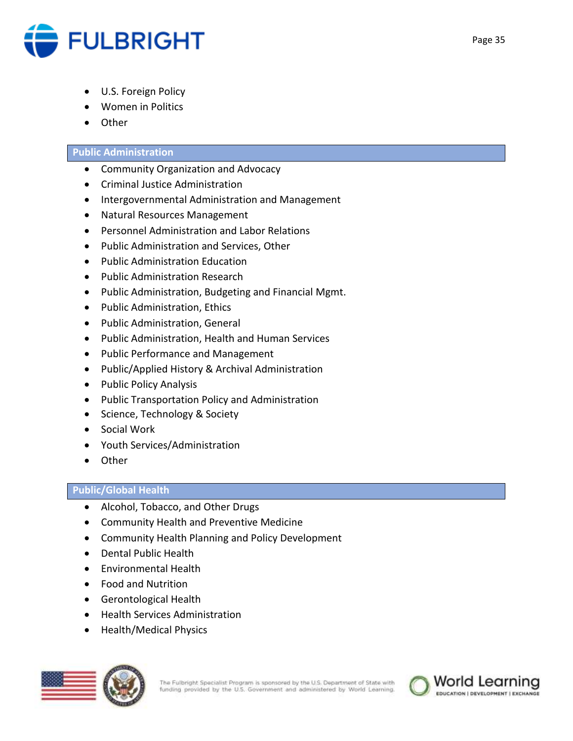

- U.S. Foreign Policy
- Women in Politics
- Other

## **Public Administration**

- Community Organization and Advocacy
- Criminal Justice Administration
- Intergovernmental Administration and Management
- Natural Resources Management
- Personnel Administration and Labor Relations
- Public Administration and Services, Other
- Public Administration Education
- Public Administration Research
- Public Administration, Budgeting and Financial Mgmt.
- Public Administration, Ethics
- Public Administration, General
- Public Administration, Health and Human Services
- Public Performance and Management
- Public/Applied History & Archival Administration
- Public Policy Analysis
- Public Transportation Policy and Administration
- Science, Technology & Society
- Social Work
- Youth Services/Administration
- Other

## **Public/Global Health**

- Alcohol, Tobacco, and Other Drugs
- Community Health and Preventive Medicine
- Community Health Planning and Policy Development
- Dental Public Health
- **•** Fnvironmental Health
- Food and Nutrition
- Gerontological Health
- Health Services Administration
- Health/Medical Physics



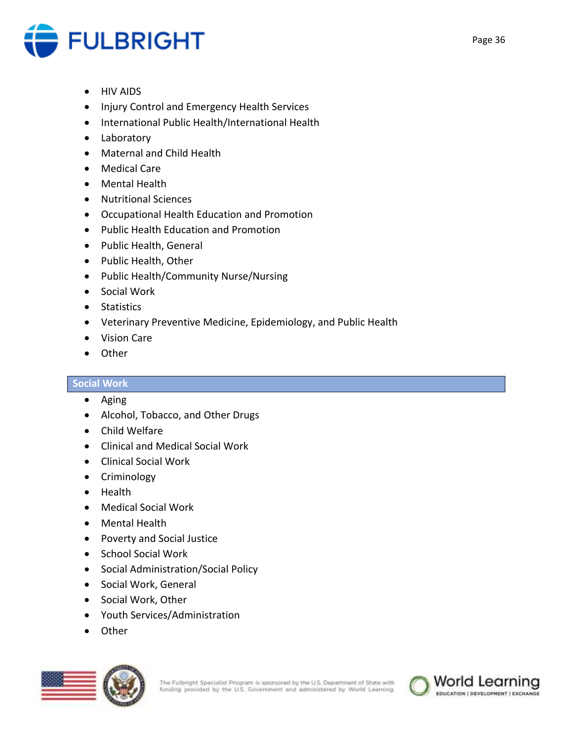

- HIV AIDS
- Injury Control and Emergency Health Services
- International Public Health/International Health
- Laboratory
- Maternal and Child Health
- Medical Care
- Mental Health
- Nutritional Sciences
- Occupational Health Education and Promotion
- Public Health Education and Promotion
- Public Health, General
- Public Health, Other
- Public Health/Community Nurse/Nursing
- Social Work
- Statistics
- Veterinary Preventive Medicine, Epidemiology, and Public Health
- Vision Care
- Other

## **Social Work**

- Aging
- Alcohol, Tobacco, and Other Drugs
- Child Welfare
- Clinical and Medical Social Work
- Clinical Social Work
- Criminology
- Health
- Medical Social Work
- Mental Health
- Poverty and Social Justice
- School Social Work
- Social Administration/Social Policy
- Social Work, General
- Social Work, Other
- Youth Services/Administration
- Other



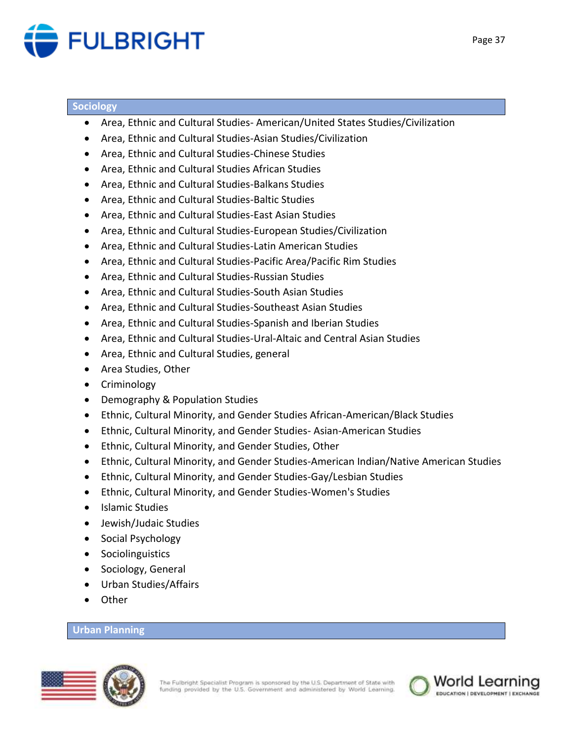

#### **Sociology**

- Area, Ethnic and Cultural Studies- American/United States Studies/Civilization
- Area, Ethnic and Cultural Studies-Asian Studies/Civilization
- Area, Ethnic and Cultural Studies-Chinese Studies
- Area, Ethnic and Cultural Studies African Studies
- Area, Ethnic and Cultural Studies-Balkans Studies
- Area, Ethnic and Cultural Studies-Baltic Studies
- Area, Ethnic and Cultural Studies-East Asian Studies
- Area, Ethnic and Cultural Studies-European Studies/Civilization
- Area, Ethnic and Cultural Studies-Latin American Studies
- Area, Ethnic and Cultural Studies-Pacific Area/Pacific Rim Studies
- Area, Ethnic and Cultural Studies-Russian Studies
- Area, Ethnic and Cultural Studies-South Asian Studies
- Area, Ethnic and Cultural Studies-Southeast Asian Studies
- Area, Ethnic and Cultural Studies-Spanish and Iberian Studies
- Area, Ethnic and Cultural Studies-Ural-Altaic and Central Asian Studies
- Area, Ethnic and Cultural Studies, general
- Area Studies, Other
- Criminology
- Demography & Population Studies
- Ethnic, Cultural Minority, and Gender Studies African-American/Black Studies
- Ethnic, Cultural Minority, and Gender Studies- Asian-American Studies
- Ethnic, Cultural Minority, and Gender Studies, Other
- Ethnic, Cultural Minority, and Gender Studies-American Indian/Native American Studies
- Ethnic, Cultural Minority, and Gender Studies-Gay/Lesbian Studies
- Ethnic, Cultural Minority, and Gender Studies-Women's Studies
- Islamic Studies
- Jewish/Judaic Studies
- Social Psychology
- Sociolinguistics
- Sociology, General
- Urban Studies/Affairs
- Other

## **Urban Planning**